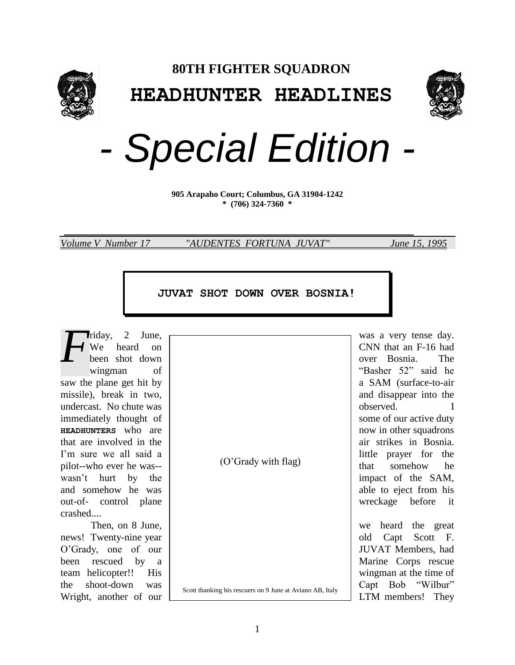



*- Special Edition -*

**905 Arapaho Court; Columbus, GA 31904-1242 \* (706) 324-7360 \***

 $\overline{a}$ 

*Volume V Number 17 "AUDENTES FORTUNA JUVAT" June 15, 1995*

## **JUVAT SHOT DOWN OVER BOSNIA!**

saw the plane get hit by  $\parallel$  a SAM (surface-to-air missile), break in two, undercast. No chute was served. I subserved. I subserved. immediately thought of some of our active duty **HEADHUNTERS** who are now in other squadrons that are involved in the strikes in Bosnia. I'm sure we all said a little prayer for the pilot--who ever he was--  $\begin{bmatrix} 0 & \text{grad}y & \text{with } \text{Hag} \end{bmatrix}$  that somehow he wasn't hurt by the impact of the SAM, and somehow he was | out-of- control plane  $\vert$  wreckage before it crashed.... *F*

news! Twenty-nine year  $\vert$  old Capt Scott F. O'Grady, one of our  $\vert$  JUVAT Members, had been rescued by a Marine Corps rescue team helicopter!! His wingman at the time of the shoot-down was  $\begin{bmatrix} 0 & \cdots & \cdots & 0 \\ 0 & \cdots & \cdots & \cdots & 0 \end{bmatrix}$  Capt Bob "Wilbur" Wright, another of our LEGIN manufacture of  $\frac{1}{2}$  LTM members! They

(O'Grady with flag)

Scott thanking his rescuers on 9 June at Aviano AB, Italy

riday, 2 June, was a very tense day. We heard on  $\vert$  CNN that an F-16 had been shot down interval with the state over Bosnia. The wingman of wingman of  $\blacksquare$ 

Then, on 8 June,  $\vert$  we heard the great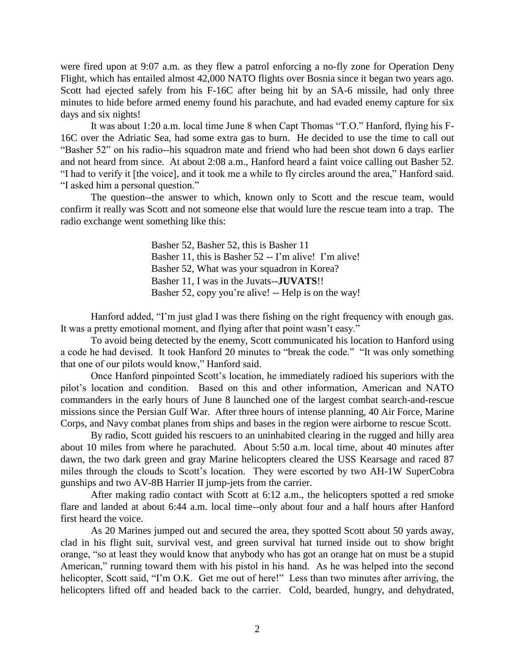were fired upon at 9:07 a.m. as they flew a patrol enforcing a no-fly zone for Operation Deny Flight, which has entailed almost 42,000 NATO flights over Bosnia since it began two years ago. Scott had ejected safely from his F-16C after being hit by an SA-6 missile, had only three minutes to hide before armed enemy found his parachute, and had evaded enemy capture for six days and six nights!

It was about 1:20 a.m. local time June 8 when Capt Thomas "T.O." Hanford, flying his F-16C over the Adriatic Sea, had some extra gas to burn. He decided to use the time to call out "Basher 52" on his radio--his squadron mate and friend who had been shot down 6 days earlier and not heard from since. At about 2:08 a.m., Hanford heard a faint voice calling out Basher 52. "I had to verify it [the voice], and it took me a while to fly circles around the area," Hanford said. "I asked him a personal question."

The question--the answer to which, known only to Scott and the rescue team, would confirm it really was Scott and not someone else that would lure the rescue team into a trap. The radio exchange went something like this:

> Basher 52, Basher 52, this is Basher 11 Basher 11, this is Basher 52 -- I'm alive! I'm alive! Basher 52, What was your squadron in Korea? Basher 11, I was in the Juvats--**JUVATS**!! Basher 52, copy you're alive! -- Help is on the way!

Hanford added, "I'm just glad I was there fishing on the right frequency with enough gas. It was a pretty emotional moment, and flying after that point wasn't easy."

To avoid being detected by the enemy, Scott communicated his location to Hanford using a code he had devised. It took Hanford 20 minutes to "break the code." "It was only something that one of our pilots would know," Hanford said.

Once Hanford pinpointed Scott's location, he immediately radioed his superiors with the pilot's location and condition. Based on this and other information, American and NATO commanders in the early hours of June 8 launched one of the largest combat search-and-rescue missions since the Persian Gulf War. After three hours of intense planning, 40 Air Force, Marine Corps, and Navy combat planes from ships and bases in the region were airborne to rescue Scott.

By radio, Scott guided his rescuers to an uninhabited clearing in the rugged and hilly area about 10 miles from where he parachuted. About 5:50 a.m. local time, about 40 minutes after dawn, the two dark green and gray Marine helicopters cleared the USS Kearsage and raced 87 miles through the clouds to Scott's location. They were escorted by two AH-1W SuperCobra gunships and two AV-8B Harrier II jump-jets from the carrier.

After making radio contact with Scott at 6:12 a.m., the helicopters spotted a red smoke flare and landed at about 6:44 a.m. local time--only about four and a half hours after Hanford first heard the voice.

As 20 Marines jumped out and secured the area, they spotted Scott about 50 yards away, clad in his flight suit, survival vest, and green survival hat turned inside out to show bright orange, "so at least they would know that anybody who has got an orange hat on must be a stupid American," running toward them with his pistol in his hand. As he was helped into the second helicopter, Scott said, "I'm O.K. Get me out of here!" Less than two minutes after arriving, the helicopters lifted off and headed back to the carrier. Cold, bearded, hungry, and dehydrated,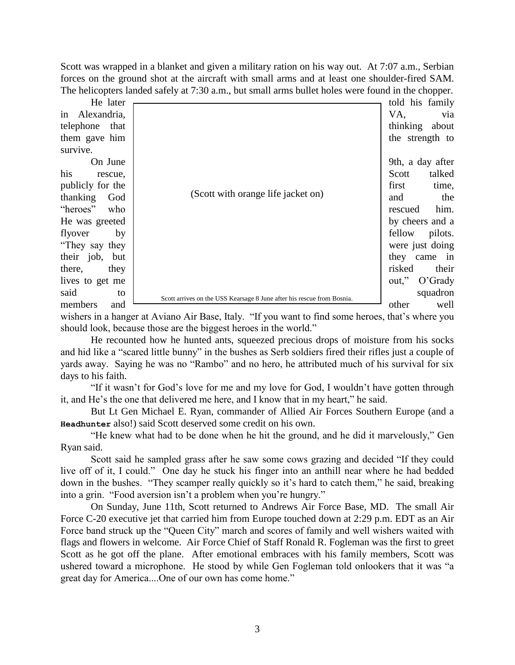Scott was wrapped in a blanket and given a military ration on his way out. At 7:07 a.m., Serbian forces on the ground shot at the aircraft with small arms and at least one shoulder-fired SAM. The helicopters landed safely at 7:30 a.m., but small arms bullet holes were found in the chopper.

| He later          |                                                                        | told his family     |
|-------------------|------------------------------------------------------------------------|---------------------|
| in Alexandria,    |                                                                        | VA,<br>via          |
| telephone<br>that |                                                                        | thinking about      |
| them gave him     |                                                                        | the strength to     |
| survive.          |                                                                        |                     |
| On June           | (Scott with orange life jacket on)                                     | 9th, a day after    |
| his<br>rescue,    |                                                                        | Scott<br>talked     |
| publicly for the  |                                                                        | first<br>time,      |
| thanking<br>God   |                                                                        | the<br>and          |
| "heroes" who      |                                                                        | him.<br>rescued     |
| He was greeted    |                                                                        | by cheers and a     |
| flyover<br>by     |                                                                        | fellow<br>pilots.   |
| "They say they"   |                                                                        | were just doing     |
| their job, but    |                                                                        | they came in        |
| there,<br>they    |                                                                        | risked<br>their     |
| lives to get me   |                                                                        | out,"<br>$O'$ Grady |
| said<br>to        | Scott arrives on the USS Kearsage 8 June after his rescue from Bosnia. | squadron            |
| members<br>and    |                                                                        | other<br>well       |

wishers in a hanger at Aviano Air Base, Italy. "If you want to find some heroes, that's where you should look, because those are the biggest heroes in the world."

He recounted how he hunted ants, squeezed precious drops of moisture from his socks and hid like a "scared little bunny" in the bushes as Serb soldiers fired their rifles just a couple of yards away. Saying he was no "Rambo" and no hero, he attributed much of his survival for six days to his faith.

"If it wasn't for God's love for me and my love for God, I wouldn't have gotten through it, and He's the one that delivered me here, and I know that in my heart," he said.

But Lt Gen Michael E. Ryan, commander of Allied Air Forces Southern Europe (and a **Headhunter** also!) said Scott deserved some credit on his own.

"He knew what had to be done when he hit the ground, and he did it marvelously," Gen Ryan said.

Scott said he sampled grass after he saw some cows grazing and decided "If they could live off of it, I could." One day he stuck his finger into an anthill near where he had bedded down in the bushes. "They scamper really quickly so it's hard to catch them," he said, breaking into a grin. "Food aversion isn't a problem when you're hungry."

On Sunday, June 11th, Scott returned to Andrews Air Force Base, MD. The small Air Force C-20 executive jet that carried him from Europe touched down at 2:29 p.m. EDT as an Air Force band struck up the "Queen City" march and scores of family and well wishers waited with flags and flowers in welcome. Air Force Chief of Staff Ronald R. Fogleman was the first to greet Scott as he got off the plane. After emotional embraces with his family members, Scott was ushered toward a microphone. He stood by while Gen Fogleman told onlookers that it was "a great day for America....One of our own has come home."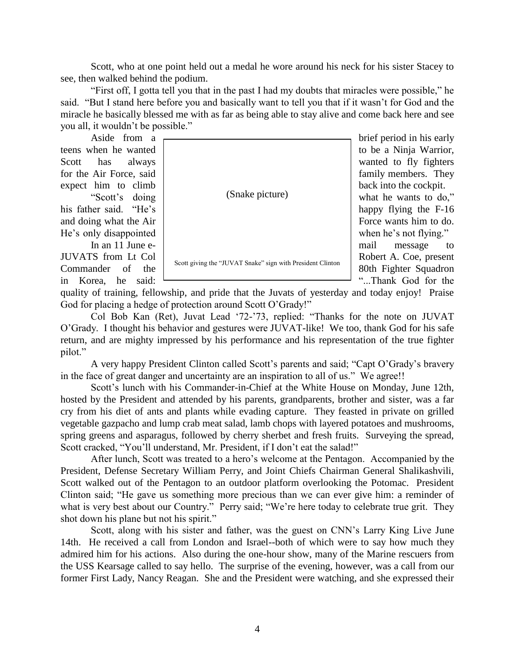Scott, who at one point held out a medal he wore around his neck for his sister Stacey to see, then walked behind the podium.

"First off, I gotta tell you that in the past I had my doubts that miracles were possible," he said. "But I stand here before you and basically want to tell you that if it wasn't for God and the miracle he basically blessed me with as far as being able to stay alive and come back here and see you all, it wouldn't be possible."

teens when he wanted to be a Ninja Warrior, Scott has always  $\vert$  wanted to fly fighters

JUVATS from Lt Col Robert A. Coe, present in Korea, he said:  $\frac{1}{1}$  "...Thank God for the

for the Air Force, said family members. They expect him to climb  $\vert$  back into the cockpit. "Scott's doing | (Snake picture) what he wants to do," his father said. "He's happy flying the F-16 and doing what the Air Force wants him to do. He's only disappointed when he's not flying." In an 11 June e-(Snake picture)

Commander of the  $\sim$  scott giving the 30 VAT shake sign with Fighten Children  $\sim$  80th Fighter Squadron Scott giving the "JUVAT Snake" sign with President Clinton

Aside from a

quality of training, fellowship, and pride that the Juvats of yesterday and today enjoy! Praise God for placing a hedge of protection around Scott O'Grady!"

Col Bob Kan (Ret), Juvat Lead '72-'73, replied: "Thanks for the note on JUVAT O'Grady. I thought his behavior and gestures were JUVAT-like! We too, thank God for his safe return, and are mighty impressed by his performance and his representation of the true fighter pilot."

A very happy President Clinton called Scott's parents and said; "Capt O'Grady's bravery in the face of great danger and uncertainty are an inspiration to all of us." We agree!!

Scott's lunch with his Commander-in-Chief at the White House on Monday, June 12th, hosted by the President and attended by his parents, grandparents, brother and sister, was a far cry from his diet of ants and plants while evading capture. They feasted in private on grilled vegetable gazpacho and lump crab meat salad, lamb chops with layered potatoes and mushrooms, spring greens and asparagus, followed by cherry sherbet and fresh fruits. Surveying the spread, Scott cracked, "You'll understand, Mr. President, if I don't eat the salad!"

After lunch, Scott was treated to a hero's welcome at the Pentagon. Accompanied by the President, Defense Secretary William Perry, and Joint Chiefs Chairman General Shalikashvili, Scott walked out of the Pentagon to an outdoor platform overlooking the Potomac. President Clinton said; "He gave us something more precious than we can ever give him: a reminder of what is very best about our Country." Perry said; "We're here today to celebrate true grit. They shot down his plane but not his spirit."

Scott, along with his sister and father, was the guest on CNN's Larry King Live June 14th. He received a call from London and Israel--both of which were to say how much they admired him for his actions. Also during the one-hour show, many of the Marine rescuers from the USS Kearsage called to say hello. The surprise of the evening, however, was a call from our former First Lady, Nancy Reagan. She and the President were watching, and she expressed their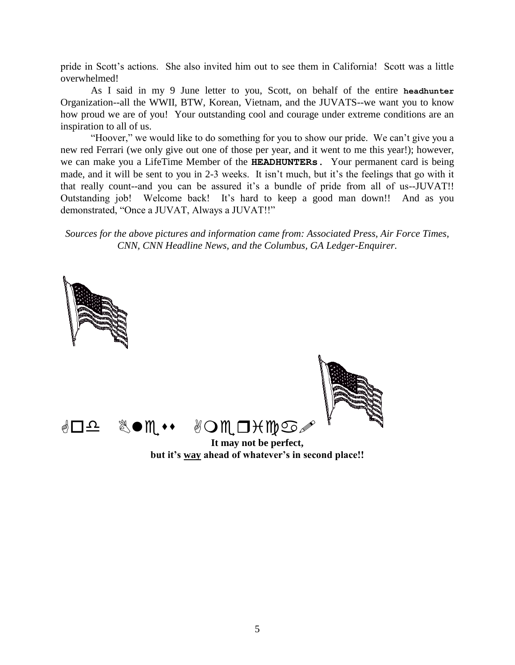pride in Scott's actions. She also invited him out to see them in California! Scott was a little overwhelmed!

As I said in my 9 June letter to you, Scott, on behalf of the entire **headhunter** Organization--all the WWII, BTW, Korean, Vietnam, and the JUVATS--we want you to know how proud we are of you! Your outstanding cool and courage under extreme conditions are an inspiration to all of us.

"Hoover," we would like to do something for you to show our pride. We can't give you a new red Ferrari (we only give out one of those per year, and it went to me this year!); however, we can make you a LifeTime Member of the **HEADHUNTERs.** Your permanent card is being made, and it will be sent to you in 2-3 weeks. It isn't much, but it's the feelings that go with it that really count--and you can be assured it's a bundle of pride from all of us--JUVAT!! Outstanding job! Welcome back! It's hard to keep a good man down!! And as you demonstrated, "Once a JUVAT, Always a JUVAT!!"

*Sources for the above pictures and information came from: Associated Press, Air Force Times, CNN, CNN Headline News, and the Columbus, GA Ledger-Enquirer.*

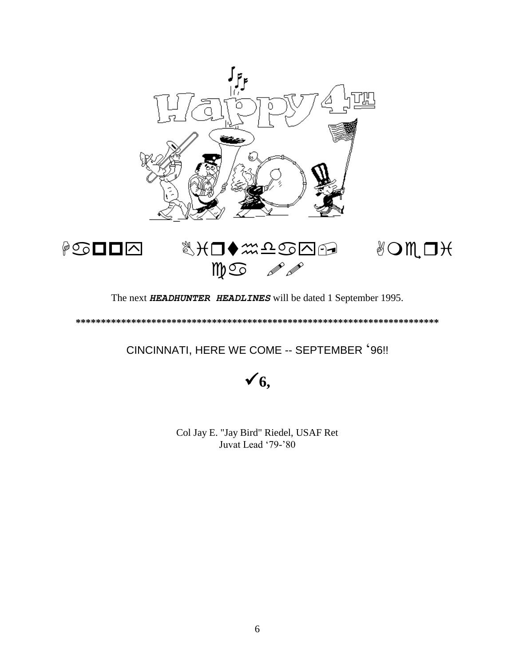



The next *HEADHUNTER HEADLINES* will be dated 1 September 1995.

**\*\*\*\*\*\*\*\*\*\*\*\*\*\*\*\*\*\*\*\*\*\*\*\*\*\*\*\*\*\*\*\*\*\*\*\*\*\*\*\*\*\*\*\*\*\*\*\*\*\*\*\*\*\*\*\*\*\*\*\*\*\*\*\*\*\*\*\*\*\*\*\***

CINCINNATI, HERE WE COME -- SEPTEMBER '96!!

**6,**

Col Jay E. "Jay Bird" Riedel, USAF Ret Juvat Lead '79-'80